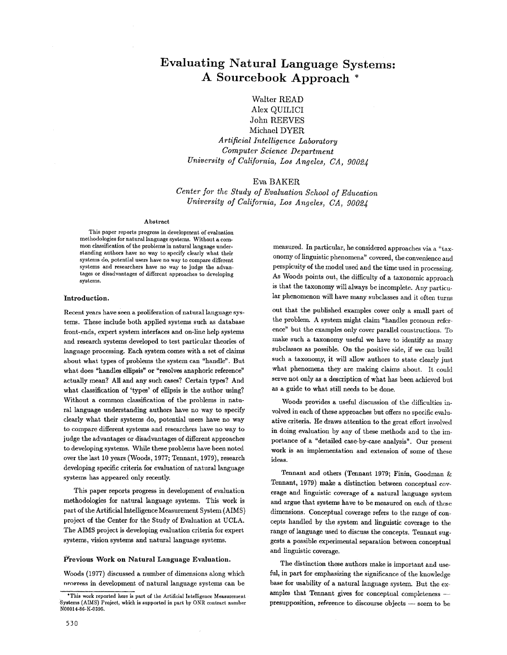# **Evaluating Natural Language Systems: A Sourcebook Approach \***

Walter READ Alex QUILICI John REEVES Michael DYER  $Artificial Intelligence Laboratory$ *Computer Science Department University of California, Los Angeles, CA, 9002J* 

# Eva BAKER

*Center for the Study of Evaluation School of Education University of California, Los Angeles, CA, 9002J* 

#### Abstract

This paper reports progress in development of evaluation methodologies for natural language systems. Without a common classification of the problems in natural language understanding authors have no way to specify clearly what their systems do, potential users have no way to compare different systems and researchers have no way to judge the advantages or disadvantages of different approaches to developing systems.

#### Introduction.

Recent years have seen a proliferation of natural language systems. These include both applied systems such as database front-ends, expert system interfaces and on-line help systems and research systems developed to test particular theories of language processing. Each system comes with a set of claims about what types of problems the system can "handle". But what does "handles ellipsis" or "resolves anaphoric reference" actually mean? All and any such cases? Certain types? And what classification of 'types' of ellipsis is the author using? Without a common classification of the problems in natural language understanding authors have no way to specify clearly what their systems do, potential users have no way to compare different systems and researchers have no way to judge the advantages or disadvantages of different approaches to developing systems. While these problems have been noted over the last 10 years (Woods, 1977; Tennant, 1979), research developing specific criteria for evaluation of natural language systems has appeared only recently.

This paper reports progress in development of evaluation methodologies for natural language systems. This work is part of the Artificial Intelligence Measurement System (AIMS) project of the Center for the Study of Evaluation at UCLA. The AIMS project is developing evaluation criteria for expert systems, vision systems and natural language systems.

#### Previous Work on Natural Language Evaluation.

Woods (1977) discussed a number of dimensions along which nrogress in development of natural language systems can be

measured. In particular, he considered approaches via a "taxonomy of linguistic phenomena" covered, the convenience and perspicuity of the model used and the time used in processing. As Woods points out, the difficulty of a taxonomic approach is that the taxonomy will always be incomplete. Any particular phenomenon will have many subclasses and it often turns

out that the published examples cover only a small part of the problem. A system might claim "handles pronoun reference" but the examples only cover parallel constructions. To make such a taxonomy useful we have to identify as many subclasses as possible. On the positive side, if we can build such a taxonomy, it will allow authors to state clearly just what phenomena they are making claims about. It could serve not only as a description of what has been achieved but as a guide to what still needs to be done.

Woods provides a useful discussion of the difficulties involved in each of these approaches but offers no specific evaluative criteria. He draws attention to the great effort involved in doing evaluation by any of these methods and to the importance of a "detailed case-by-case analysis". Our present work is an implementation and extension of some of these ideas.

Tennant and others (Tennant 1979; Finin, Goodman & Tennant, 1979) make a distinction between conceptual coy.. erage and linguistic coverage of a natural language system and argue that systems have to be measured on each of these dimensions. Conceptual coverage refers to the range of concepts handled by the system and linguistic coverage to the range of language used to discuss the concepts. Tennant suggests a possible experimental separation between conceptual and linguistic coverage.

The distinction these authors make is important and useful, in part for emphasizing the significance of the knowledge base for usability of a natural language system. But the examples that Tennant gives for conceptual completeness presupposition, reference to discourse objects -- seem to be

<sup>\*</sup>This work reported here is part of the Artificial Intelligence Measurement Systems (AIMS) Project, which is supported in part by ONR contract number N00014-S6-K-0395.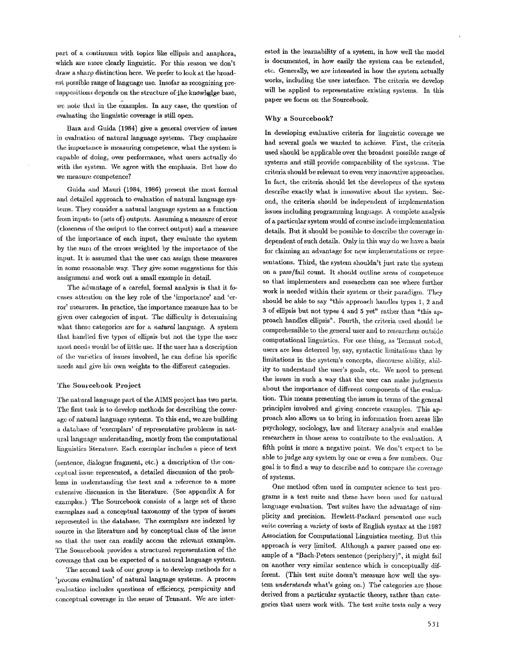part of a continuum with topics like ellipsis and anaphora, which are more clearly linguistic. For this reason we don't draw a sharp distinction here. We prefer to look at the broadest possible range of language use. Insofar as recognizing presuppositions depends on the structure of the knowledge base,

we note that in the examples. In any case, the question of evaluating the linguistic coverage is still open.

Bara and Guida (1984) give a general overview of issues in evaluation of natural language systems. They emphasize the importance is measuring competence, what the system is capable of doing, over performance, what users actually do with the system. We agree with the emphasis. But how do we measure competence?

Guida and Mauri (1984, 1986) present the most formal and detailed approach to evaluation of natural language systems. They consider a natural language system as a function from inputs to (sets of) outputs. Assuming a measure of error (closeness of the output to the correct output) and a measure of the importance of each input, they ewluate the system by the sum of the errors weighted by the importance of the input. It is assumed that the user can assign these measures in some reasonable way. They give some suggestions for this assignmeni; and work out a small example in detail.

The advantage of a careful, formal analysis is that it focuses attention on the key role of the 'importance' and 'error' measures. In practice, the importance measure has to be given over categories of input. The difficulty is determining what these categories are for a *natural* language. A system that handled five types of ellipsis but not the type the user most needs would be of little use. If the user has a description of the varieties of issues involved, he can define his specific needs and give his own weights to the different categories.

#### The Sourcebook Project

The natural language part of the AIMS project has two parts. The first task is to develop methods for describing the coverage of natural language systems. To this end, we are building a database of 'exemplars' of representative problems in nat- ural language undcrstanding, mostly from the computational linguistics literature. Each exemplar includes a piece of text

 $(sentence, dialogue fragment, etc.)$  a description of the conceptual issue represented, a detailed discussion of the problems in understanding the text and a reference to a more extensive discussion in the literature. (See appendix A for examples.) The Sourcebook consists of a large set of these exemplars and a conceptual taxonomy of the types of issues represented in the database. The exemplars are indexed by source in the literature and by conceptual class of the issue so that the user can readily access the relevant examples. The Sourcebook provides a structural representation of the coverage that can be expected of a natural language system.

The second task of our group is to develop methods for a  $v<sub>p</sub>$  process evaluation' of natural language systems. A process evahlation includes questions of efficiency, perspicuity and conceptual coverage in the sense of Tennant. We are interested in the learnability of a system, in how well the model is documented, in how easily the system can be extended, etc. Generally, we are interested in how the system actually works, including the user interface. The criteria we develop will be applied to representative existing systems. In this paper we focus on the Soureebook.

### Why a Sourcebook?

In developing evaluative criteria for linguistic coverage we had several goals we wanted to achieve. First, the criteria used should be applicable over the broadest possible range of systems and still provide comparability of the systems. The criteria should be relevant to even very innovative approaches. In fact, the criteria should let the developers of the system describe exactly what is innovative about the system. Second, the criteria should be independent of implementation issues including programming language. A complete analysis of a particular system would of coui'se include implementation details. But it should be possible to describe the coverage independent of such details. Only in this way do we have a basis for claiming an advantage for new implementations or representations. Third, the system shouldn't just rate the system on a pass/fail count. It should outline areas of competence so that implementers and researchers can see where further work is needed within their system or their paradigm. They should be able to say "this approach handles types 1, 2 and 3 of ellipsis but not types 4 and 5 yet" rather than "this approach handles ellipsis". Fourth, the criteria used should be comprehensible to the general user and to researchers outside computational linguistics. For one thing, as Tennant noted, users are less deterred by, say, syntactic limitations than by limitations in the system's concepts, discourse ability, ability to understand the user's goals, etc. We need to present the issues in such a way that the user can make judgments about the importance of different components of the evaluation. This means presenting the issues in terms of the general principles involved and giving concrete examples. This approach also allows us to bring in information from areas like psychology, sociology, law and literary analysis and enables researchers in those areas to contribute to the evaluation. A fifth point is more a negative point. We don't expect to be able to judge any system by one or even a few numbers. Our goal is to find a way to describe and to compare the coverage of systems.

One method often used in computer science to test programs is a test suite and these have been used for natural language evaluation. Test suites have the advantage of simplicity and precision. Hewlett-Packard presented one such suite covering a variety of tests of English syntax at the 1987 Association for Computational Linguistics meeting. But this approach is very limited. Although a parser passed one example of a "Bach-Peters sentence (periphery)", it might fail on: another very similar sentence which is conceptually different. (This test suite doesn't measure how well the system *understands* what's going on.) The categories are those derived from a particular syntactic theory, rather than categories that users work with. The test suite tests only a very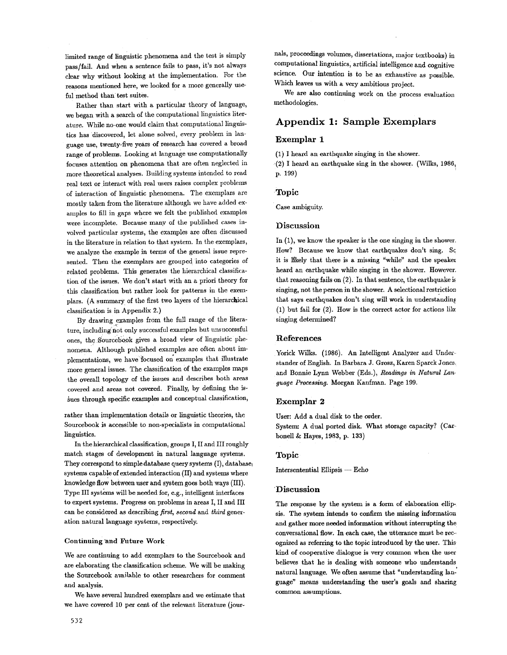limited range of linguistic phenomena and the test is simply pass/fail. And when a sentence fails to pass, it's not always clear why without looking at the implementation. For the reasons mentioned here, we looked for a more generally useful method than test suites.

Rather than start with a particular theory of language, we began with a search of the computational linguistics hterature. While no-one would claim that computational linguistics has discovered, let alone solved, every problem in language use, twenty-five years of research has covered a broad range of problems. Looking at language use computationally focuses attention on phenomena that are often neglected in more theoretical analyses. Building systems intended to read real text or interact with real users raises complex problems of interaction of linguistic phenomena. The exemplars are mostly taken from the literature although we have added examples to fill in gaps where we felt the published examples were incomplete. Because many of the published cases involved particular systems, the examples are often discussed in the literature in relation to that system. In the exemplars, we analyze the example in terms of the general issue represented. Then the exemplars are grouped into categories of related problems. This generates the hierarchical classification of the issues. We don't start with an a priori theory for this classification but rather look for patterns in the exemplars. (A surmnary of the first two layers of the hierarchical classification is in Appendix 2.)

By drawing examples from the full range of the literature, including not only successful examples but unsuccessful ones, the Sourcebook gives a broad view of linguistic phenomena. Although published examples are often about implementations, we have focused on examples that illustrate more general issues. The classification of the examples maps the overall topology of the issues and describes both areas covered and areas not covered. Finally, by defining the issues through specific examples and conceptual classification,

rather than implementation details or linguistic theories, the Sourcebook is accessible to non-specialists in computational linguistics.

In the hierarchical classification, groups I, II and III roughly match stages of development in natural language systems. They correspond to simple database query systems  $(1)$ , database systems capable of extended interaction (II) and systems where knowledge flow between user and system goes both ways (III). Type III systems will be needed for, e.g., intelligent interfaces to expert systems. Progress on problems in areas I, II and III can be considered as describing *first, second* and *third* generation natural language systems, respectively.

#### Continuing 'and Future Work

We are continuing to add exemplars to the Sourcebook and are elaborating the classification scheme. We will be making the Sourcebook available to other researchers for comment and analysis.

We have several hundred exemplars and we estimate that we have covered 10 per cent of the relevant literature (journals, proceedings volumes, dissertations, major textbooks) in computational linguistics, artificial intelligence and cognitive science. Our intention is to be as exhaustive as possible. Which leaves us with a very ambitious project.

We are also continuing work on the process evaluation methodologies.

# **Appendix I: Sample Exemplars**

### Exemplar 1

(1) I heard an earthquake singing in the shower.

 $(2)$  I heard an earthquake sing in the shower. (Wilks, 1986, p. 199)

#### Topic

Case ambiguity.

### Discussion

In (1), we know the speaker is the one singing in the shower. How? Because we know that earthquakes don't sing. Sc it is likely that there is a missing "while" and the speaker heard an earthquake while singing in the shower. However: that reasoning fails on  $(2)$ . In that sentence, the earthquake is singing, not the person in the Shower. A selectional restriction that says earthquakes don't sing will work in understanding (1) but fail for (2). How is the correct actor for actions like singing determined?

#### References

Yorick Wilks. (1986). An Intelligent Analyzer and Understander of English. In Barbara J. Grosz, Karen Sparck Jones~ and Bonnie Lynn Webber (Eds.), *Readings in Natural Lau. guage Processing.* Morgan Kaufman. Page 199.

### Exemplar 2

User: Add a dual disk to the order.

System: A dual ported disk. What storage capacity? (Carbonell & Hayes, 1983, p. 133)

#### Topic

Intersentential Ellipsis -- Echo

#### **'Discussion**

The response by the system is a form of elaboration ellip-, sis. The system intends to confirm the missing information and gather more needed information without interrupting the conversational flow. In each case, the utterance must be recognized as referring to the topic introduced by the user. This kind of cooperative dialogue is very common when the user believes that he is dealing with someone who understands natural language. We often assume that "understanding law' guage" means understanding the user's goals and sharing common assumptions.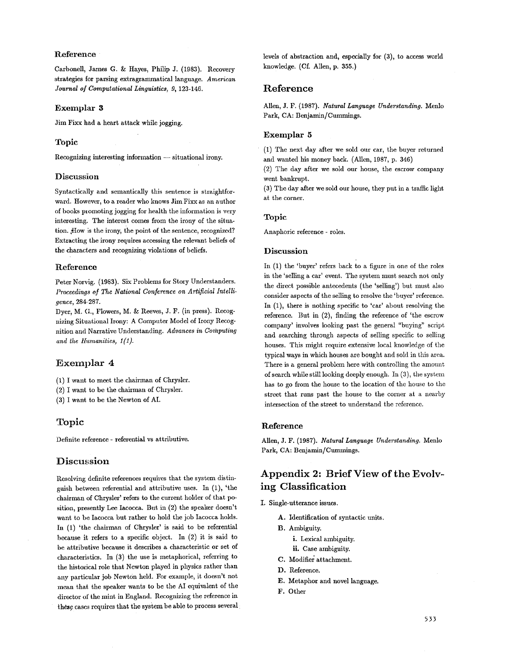# **Reference**

Carbonell, James G. & Hayes, Philip J. (1983). Recovery strategies for parsing extragrammatieal language. *American Journal o] Computational Linguistics, 9,* 123-146.

### Exemplar **3**

Jim Fixx had a heart attack while jogging.

# Topic

Recognizing interesting information -- situational irony.

### Discussion

Syntactically and semantically this sentence is straightforward. However, to a reader who knows Jim Fixx as an author of books promoting jogging for health the information is very interesting. The interest comes from the irony of the situation. How is the irony, the point of the sentence, recognized? Extracting the irony requires accessing the relevant beliefs of the characters and recognizing violations of beliefs.

#### Reference

Peter Norvig. (1983). Six Problems for Story Understanders. *Proceedings of The National Conference on Artificial Intelligence,* 284.287.

Dyer, M. G., Flowers, M. & Reeves, J. F. (in press). Recognizing Situational Irony: A Computer Model of Irony Recognition and Narrative Understanding. *Advances in Computing and the Hnmanities, I(1).* 

# Exemplar 4

(1) I want to meet the chairman of Chrysler.

(2) I want to be the chairman of Chrysler.

(3) I want to be the Newton of AI.

# Topic

Definite reference - referential vs attributive.

# **Discussion**

Resolving definite references requires that the system distinguish between referential and attributive uses. In (1), 'the chairman of Chrysler' refers to the current holder of that position, presently Lee Iacocca. But in  $(2)$  the speaker doesn't want to be Iacocca but rather to hold the job Iacocca holds. In (1) 'the chairman of Chrysler' is said to be referential because it refers to a specific object. In (2) it is said to be attributive because it describes a characteristic or set of characteristics. In  $(3)$  the use is metaphorical, referring to the historical role that Newton played in physics rather than any particular job Newton held. For example, it doesn't not mean that the speaker wants to be the AI equivalent of the director of the mint in England. Recognizing the reference in these cases requires that the system be able to process several levels of abstraction and, especially for (3), to access world knowledge. (Cf. Allen, p. 355.)

# **Reference**

Allen, J. F. (1987). *Natural Language Understanding.* Menlo Park, CA: Benjamin/Cummings.

# Exemplar **5**

(1) The next day after we sold our car, the buyer returned and wanted his money back. (Allen, 1987, p. 346)

(2) The day after we sold our house, the escrow company went bankrupt.

 $(3)$  The day after we sold our house, they put in a traffic light at the corner.

# Topic

Anaphoric reference - roles.

### Discussion

In (1) the 'buyer' refers back to a figure in one of the roles in the 'selling a car' event. The system must search not only the direct possible antecedents (the 'selling') but must also consider aspects of the selling to resolve the 'buyer' reference. In (1), there is nothing specific to 'car' about resolving the reference. But in (2), finding the reference of 'the escrow company' involves looking past the general "buying" script and searching through aspects of selling specific to selling houses. This might require extensive local knowledge of the typical ways in which houses are bought and sold in this area. There is a general problem here with controlling the amount of search while still looking deeply enough. In (3), the system has to go from the house to the location of the house to the street that runs past the house to the corner at a nearby intersection of the street to understand the reference.

#### Reference

Alien, J. F. (1987). *Natural Language Understanding.* Menlo Park, CA: Benjamin/Cummings.

# **Appendix 2: Brief View of the Evolw**  ing Classification

- I. Single-utterance issues.
	- A. Identification of syntactic units.
	- B. Ambiguity.
		- i. Lexical ambiguity.
		- ii. Case ambiguity.
	- C. Modifier attachment.
	- D. Reference.
	- E. Metaphor and novel language.
	- F. Other